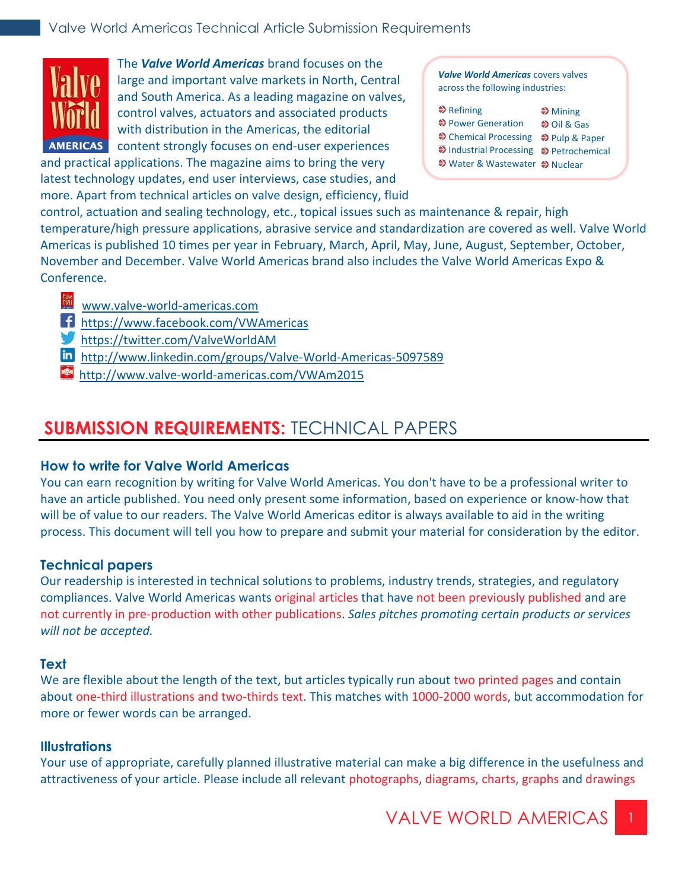

The *Valve World Americas* brand focuses on the large and important valve markets in North, Central and South America. As a leading magazine on valves, control valves, actuators and associated products with distribution in the Americas, the editorial AMERICAS content strongly focuses on end-user experiences

and practical applications. The magazine aims to bring the very latest technology updates, end user interviews, case studies, and more. Apart from technical articles on valve design, efficiency, fluid

*Valve World Americas* covers valves across the following industries:

| $\triangle$ Refining                    | $\clubsuit$ Mining   |
|-----------------------------------------|----------------------|
| ♦ Power Generation                      | $\bigcirc$ Oil & Gas |
| → Chemical Processing → Pulp & Paper    |                      |
| → Industrial Processing → Petrochemical |                      |
| ♦ Water & Wastewater ♦ Nuclear          |                      |

control, actuation and sealing technology, etc., topical issues such as maintenance & repair, high temperature/high pressure applications, abrasive service and standardization are covered as well. Valve World Americas is published 10 times per year in February, March, April, May, June, August, September, October, November and December. Valve World Americas brand also includes the Valve World Americas Expo & Conference.

- [www.valve-world-americas.com](http://www.pumpengineer.net/)
- [https://www.facebook.com/VWAmericas](https://www.facebook.com/engineer.pump)
- [https://twitter.com/ValveWorldAM](https://twitter.com/Pump_Engr)
- [http://www.linkedin.com/groups/Valve-World-Americas-5097589](http://www.linkedin.com/groups/Pump-Engineer-Group-4337439)
- http://www.valve-world-americas.com/VWAm2015

# **SUBMISSION REQUIREMENTS:** TECHNICAL PAPERS

## **How to write for Valve World Americas**

You can earn recognition by writing for Valve World Americas. You don't have to be a professional writer to have an article published. You need only present some information, based on experience or know-how that will be of value to our readers. The Valve World Americas editor is always available to aid in the writing process. This document will tell you how to prepare and submit your material for consideration by the editor.

# **Technical papers**

Our readership is interested in technical solutions to problems, industry trends, strategies, and regulatory compliances. Valve World Americas wants original articles that have not been previously published and are not currently in pre-production with other publications. *Sales pitches promoting certain products or services will not be accepted.*

## **Text**

We are flexible about the length of the text, but articles typically run about two printed pages and contain about one-third illustrations and two-thirds text. This matches with 1000-2000 words, but accommodation for more or fewer words can be arranged.

## **Illustrations**

Your use of appropriate, carefully planned illustrative material can make a big difference in the usefulness and attractiveness of your article. Please include all relevant photographs, diagrams, charts, graphs and drawings